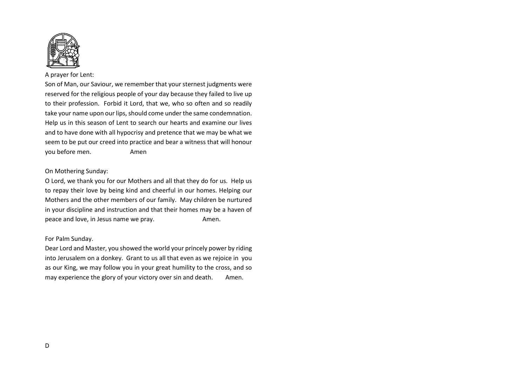

## A prayer for Lent:

Son of Man, our Saviour, we remember that your sternest judgments were reserved for the religious people of your day because they failed to live up to their profession. Forbid it Lord, that we, who so often and so readily take your name upon our lips, should come under the same condemnation. Help us in this season of Lent to search our hearts and examine our lives and to have done with all hypocrisy and pretence that we may be what we seem to be put our creed into practice and bear a witness that will honour you before men. Amen

## On Mothering Sunday:

O Lord, we thank you for our Mothers and all that they do for us. Help us to repay their love by being kind and cheerful in our homes. Helping our Mothers and the other members of our family. May children be nurtured in your discipline and instruction and that their homes may be a haven of peace and love, in Jesus name we pray. Amen.

## For Palm Sunday.

Dear Lord and Master, you showed the world your princely power by riding into Jerusalem on a donkey. Grant to us all that even as we rejoice in you as our King, we may follow you in your great humility to the cross, and so may experience the glory of your victory over sin and death. Amen.